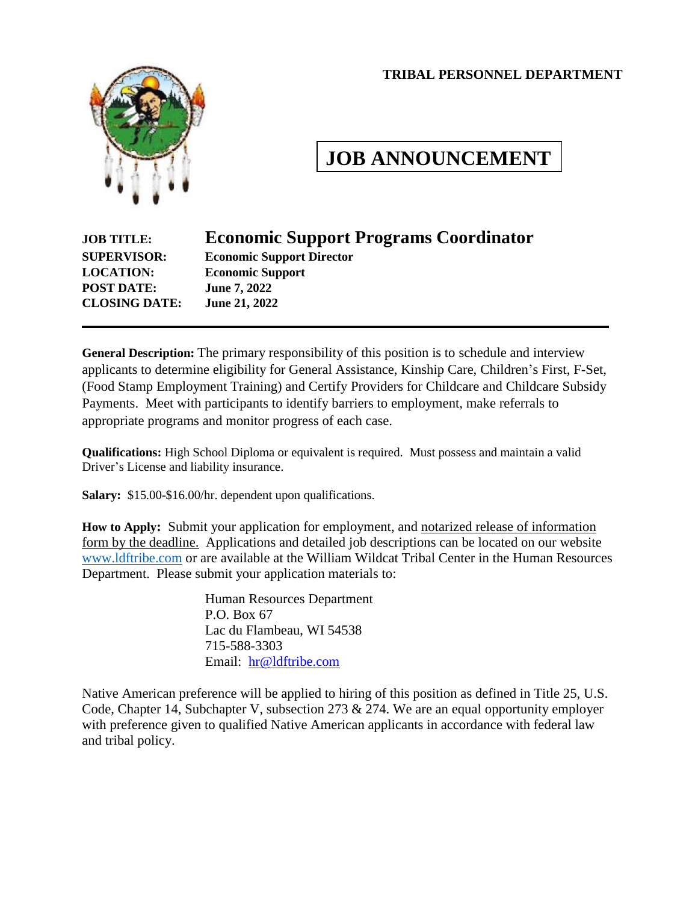#### **TRIBAL PERSONNEL DEPARTMENT**



# **JOB ANNOUNCEMENT**

# **JOB TITLE: Economic Support Programs Coordinator**

**POST DATE: June 7, 2022 CLOSING DATE: June 21, 2022**

**SUPERVISOR: Economic Support Director LOCATION: Economic Support**

**General Description:** The primary responsibility of this position is to schedule and interview applicants to determine eligibility for General Assistance, Kinship Care, Children's First, F-Set, (Food Stamp Employment Training) and Certify Providers for Childcare and Childcare Subsidy Payments. Meet with participants to identify barriers to employment, make referrals to appropriate programs and monitor progress of each case.

**Qualifications:** High School Diploma or equivalent is required. Must possess and maintain a valid Driver's License and liability insurance.

**Salary:** \$15.00-\$16.00/hr. dependent upon qualifications.

**How to Apply:** Submit your application for employment, and notarized release of information form by the deadline. Applications and detailed job descriptions can be located on our website [www.ldftribe.com](http://www.ldftribe.com/) or are available at the William Wildcat Tribal Center in the Human Resources Department. Please submit your application materials to:

> Human Resources Department P.O. Box 67 Lac du Flambeau, WI 54538 715-588-3303 Email: [hr@ldftribe.com](mailto:hr@ldftribe.com)

Native American preference will be applied to hiring of this position as defined in Title 25, U.S. Code, Chapter 14, Subchapter V, subsection 273 & 274. We are an equal opportunity employer with preference given to qualified Native American applicants in accordance with federal law and tribal policy.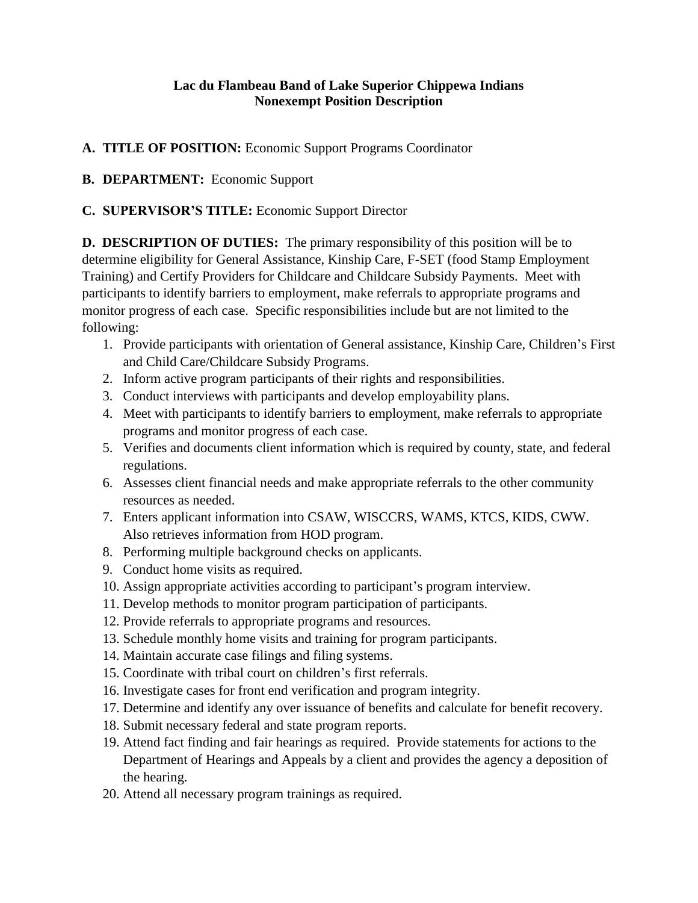## **Lac du Flambeau Band of Lake Superior Chippewa Indians Nonexempt Position Description**

**A. TITLE OF POSITION:** Economic Support Programs Coordinator

# **B. DEPARTMENT:** Economic Support

# **C. SUPERVISOR'S TITLE:** Economic Support Director

**D. DESCRIPTION OF DUTIES:** The primary responsibility of this position will be to determine eligibility for General Assistance, Kinship Care, F-SET (food Stamp Employment Training) and Certify Providers for Childcare and Childcare Subsidy Payments. Meet with participants to identify barriers to employment, make referrals to appropriate programs and monitor progress of each case. Specific responsibilities include but are not limited to the following:

- 1. Provide participants with orientation of General assistance, Kinship Care, Children's First and Child Care/Childcare Subsidy Programs.
- 2. Inform active program participants of their rights and responsibilities.
- 3. Conduct interviews with participants and develop employability plans.
- 4. Meet with participants to identify barriers to employment, make referrals to appropriate programs and monitor progress of each case.
- 5. Verifies and documents client information which is required by county, state, and federal regulations.
- 6. Assesses client financial needs and make appropriate referrals to the other community resources as needed.
- 7. Enters applicant information into CSAW, WISCCRS, WAMS, KTCS, KIDS, CWW. Also retrieves information from HOD program.
- 8. Performing multiple background checks on applicants.
- 9. Conduct home visits as required.
- 10. Assign appropriate activities according to participant's program interview.
- 11. Develop methods to monitor program participation of participants.
- 12. Provide referrals to appropriate programs and resources.
- 13. Schedule monthly home visits and training for program participants.
- 14. Maintain accurate case filings and filing systems.
- 15. Coordinate with tribal court on children's first referrals.
- 16. Investigate cases for front end verification and program integrity.
- 17. Determine and identify any over issuance of benefits and calculate for benefit recovery.
- 18. Submit necessary federal and state program reports.
- 19. Attend fact finding and fair hearings as required. Provide statements for actions to the Department of Hearings and Appeals by a client and provides the agency a deposition of the hearing.
- 20. Attend all necessary program trainings as required.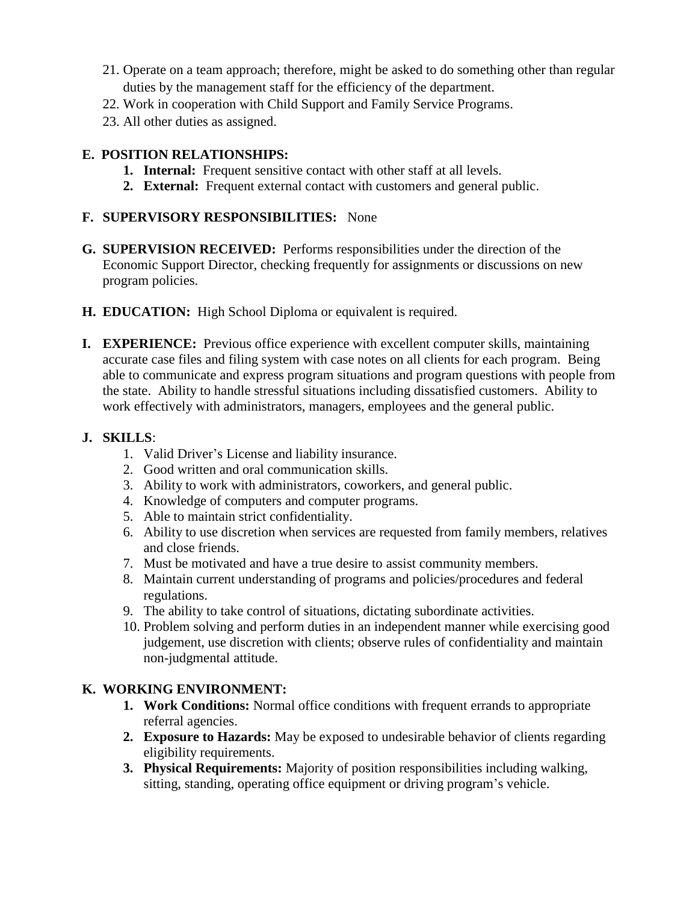- 21. Operate on a team approach; therefore, might be asked to do something other than regular duties by the management staff for the efficiency of the department.
- 22. Work in cooperation with Child Support and Family Service Programs.
- 23. All other duties as assigned.

# **E. POSITION RELATIONSHIPS:**

- **1. Internal:** Frequent sensitive contact with other staff at all levels.
- **2. External:** Frequent external contact with customers and general public.

### **F. SUPERVISORY RESPONSIBILITIES:** None

- **G. SUPERVISION RECEIVED:** Performs responsibilities under the direction of the Economic Support Director, checking frequently for assignments or discussions on new program policies.
- **H. EDUCATION:** High School Diploma or equivalent is required.
- **I. EXPERIENCE:** Previous office experience with excellent computer skills, maintaining accurate case files and filing system with case notes on all clients for each program. Being able to communicate and express program situations and program questions with people from the state. Ability to handle stressful situations including dissatisfied customers. Ability to work effectively with administrators, managers, employees and the general public.

#### **J. SKILLS**:

- 1. Valid Driver's License and liability insurance.
- 2. Good written and oral communication skills.
- 3. Ability to work with administrators, coworkers, and general public.
- 4. Knowledge of computers and computer programs.
- 5. Able to maintain strict confidentiality.
- 6. Ability to use discretion when services are requested from family members, relatives and close friends.
- 7. Must be motivated and have a true desire to assist community members.
- 8. Maintain current understanding of programs and policies/procedures and federal regulations.
- 9. The ability to take control of situations, dictating subordinate activities.
- 10. Problem solving and perform duties in an independent manner while exercising good judgement, use discretion with clients; observe rules of confidentiality and maintain non-judgmental attitude.

### **K. WORKING ENVIRONMENT:**

- **1. Work Conditions:** Normal office conditions with frequent errands to appropriate referral agencies.
- **2. Exposure to Hazards:** May be exposed to undesirable behavior of clients regarding eligibility requirements.
- **3. Physical Requirements:** Majority of position responsibilities including walking, sitting, standing, operating office equipment or driving program's vehicle.